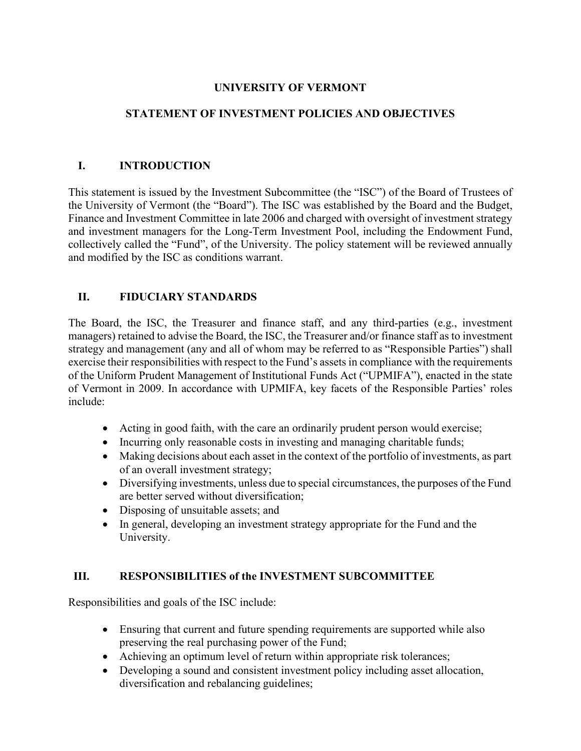#### **UNIVERSITY OF VERMONT**

#### **STATEMENT OF INVESTMENT POLICIES AND OBJECTIVES**

#### **I. INTRODUCTION**

This statement is issued by the Investment Subcommittee (the "ISC") of the Board of Trustees of the University of Vermont (the "Board"). The ISC was established by the Board and the Budget, Finance and Investment Committee in late 2006 and charged with oversight of investment strategy and investment managers for the Long-Term Investment Pool, including the Endowment Fund, collectively called the "Fund", of the University. The policy statement will be reviewed annually and modified by the ISC as conditions warrant.

#### **II. FIDUCIARY STANDARDS**

The Board, the ISC, the Treasurer and finance staff, and any third-parties (e.g., investment managers) retained to advise the Board, the ISC, the Treasurer and/or finance staff as to investment strategy and management (any and all of whom may be referred to as "Responsible Parties") shall exercise their responsibilities with respect to the Fund's assets in compliance with the requirements of the Uniform Prudent Management of Institutional Funds Act ("UPMIFA"), enacted in the state of Vermont in 2009. In accordance with UPMIFA, key facets of the Responsible Parties' roles include:

- Acting in good faith, with the care an ordinarily prudent person would exercise;
- Incurring only reasonable costs in investing and managing charitable funds;
- Making decisions about each asset in the context of the portfolio of investments, as part of an overall investment strategy;
- Diversifying investments, unless due to special circumstances, the purposes of the Fund are better served without diversification;
- Disposing of unsuitable assets; and
- In general, developing an investment strategy appropriate for the Fund and the University.

#### **III. RESPONSIBILITIES of the INVESTMENT SUBCOMMITTEE**

Responsibilities and goals of the ISC include:

- Ensuring that current and future spending requirements are supported while also preserving the real purchasing power of the Fund;
- Achieving an optimum level of return within appropriate risk tolerances;
- Developing a sound and consistent investment policy including asset allocation, diversification and rebalancing guidelines;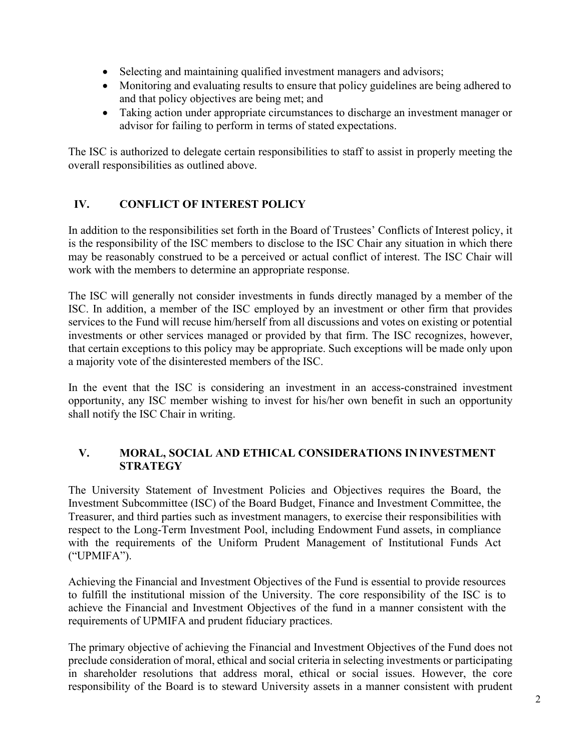- Selecting and maintaining qualified investment managers and advisors;
- Monitoring and evaluating results to ensure that policy guidelines are being adhered to and that policy objectives are being met; and
- Taking action under appropriate circumstances to discharge an investment manager or advisor for failing to perform in terms of stated expectations.

The ISC is authorized to delegate certain responsibilities to staff to assist in properly meeting the overall responsibilities as outlined above.

# **IV. CONFLICT OF INTEREST POLICY**

In addition to the responsibilities set forth in the Board of Trustees' Conflicts of Interest policy, it is the responsibility of the ISC members to disclose to the ISC Chair any situation in which there may be reasonably construed to be a perceived or actual conflict of interest. The ISC Chair will work with the members to determine an appropriate response.

The ISC will generally not consider investments in funds directly managed by a member of the ISC. In addition, a member of the ISC employed by an investment or other firm that provides services to the Fund will recuse him/herself from all discussions and votes on existing or potential investments or other services managed or provided by that firm. The ISC recognizes, however, that certain exceptions to this policy may be appropriate. Such exceptions will be made only upon a majority vote of the disinterested members of the ISC.

In the event that the ISC is considering an investment in an access-constrained investment opportunity, any ISC member wishing to invest for his/her own benefit in such an opportunity shall notify the ISC Chair in writing.

#### **V. MORAL, SOCIAL AND ETHICAL CONSIDERATIONS IN INVESTMENT STRATEGY**

The University Statement of Investment Policies and Objectives requires the Board, the Investment Subcommittee (ISC) of the Board Budget, Finance and Investment Committee, the Treasurer, and third parties such as investment managers, to exercise their responsibilities with respect to the Long-Term Investment Pool, including Endowment Fund assets, in compliance with the requirements of the Uniform Prudent Management of Institutional Funds Act ("UPMIFA").

Achieving the Financial and Investment Objectives of the Fund is essential to provide resources to fulfill the institutional mission of the University. The core responsibility of the ISC is to achieve the Financial and Investment Objectives of the fund in a manner consistent with the requirements of UPMIFA and prudent fiduciary practices.

The primary objective of achieving the Financial and Investment Objectives of the Fund does not preclude consideration of moral, ethical and social criteria in selecting investments or participating in shareholder resolutions that address moral, ethical or social issues. However, the core responsibility of the Board is to steward University assets in a manner consistent with prudent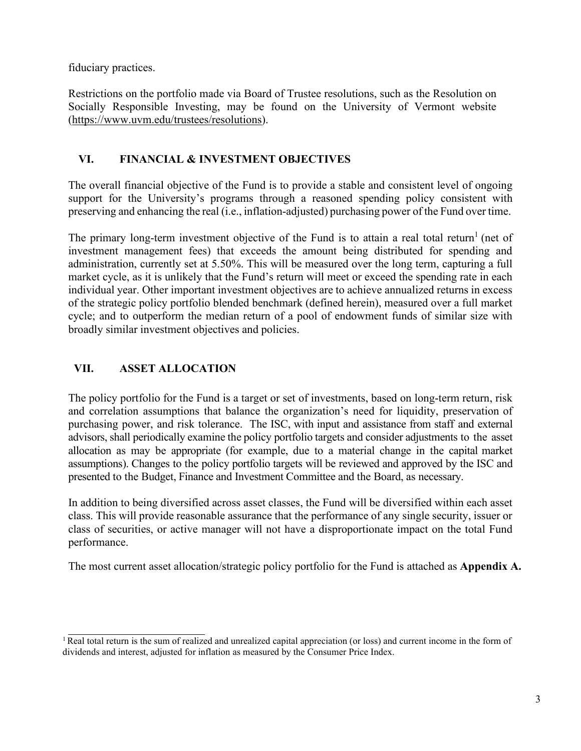fiduciary practices.

Restrictions on the portfolio made via Board of Trustee resolutions, such as the Resolution on Socially Responsible Investing, may be found on the University of Vermont website [\(https://www.uvm.edu/trustees/resolutions\)](https://www.uvm.edu/trustees/resolutions).

# **VI. FINANCIAL & INVESTMENT OBJECTIVES**

The overall financial objective of the Fund is to provide a stable and consistent level of ongoing support for the University's programs through a reasoned spending policy consistent with preserving and enhancing the real (i.e., inflation-adjusted) purchasing power of the Fund over time.

The primary long-term investment objective of the Fund is to attain a real total return<sup>[1](#page-2-0)</sup> (net of investment management fees) that exceeds the amount being distributed for spending and administration, currently set at 5.50%. This will be measured over the long term, capturing a full market cycle, as it is unlikely that the Fund's return will meet or exceed the spending rate in each individual year. Other important investment objectives are to achieve annualized returns in excess of the strategic policy portfolio blended benchmark (defined herein), measured over a full market cycle; and to outperform the median return of a pool of endowment funds of similar size with broadly similar investment objectives and policies.

# **VII. ASSET ALLOCATION**

The policy portfolio for the Fund is a target or set of investments, based on long-term return, risk and correlation assumptions that balance the organization's need for liquidity, preservation of purchasing power, and risk tolerance. The ISC, with input and assistance from staff and external advisors, shall periodically examine the policy portfolio targets and consider adjustments to the asset allocation as may be appropriate (for example, due to a material change in the capital market assumptions). Changes to the policy portfolio targets will be reviewed and approved by the ISC and presented to the Budget, Finance and Investment Committee and the Board, as necessary.

In addition to being diversified across asset classes, the Fund will be diversified within each asset class. This will provide reasonable assurance that the performance of any single security, issuer or class of securities, or active manager will not have a disproportionate impact on the total Fund performance.

The most current asset allocation/strategic policy portfolio for the Fund is attached as **Appendix A.**

<span id="page-2-0"></span><sup>&</sup>lt;sup>1</sup> Real total return is the sum of realized and unrealized capital appreciation (or loss) and current income in the form of dividends and interest, adjusted for inflation as measured by the Consumer Price Index.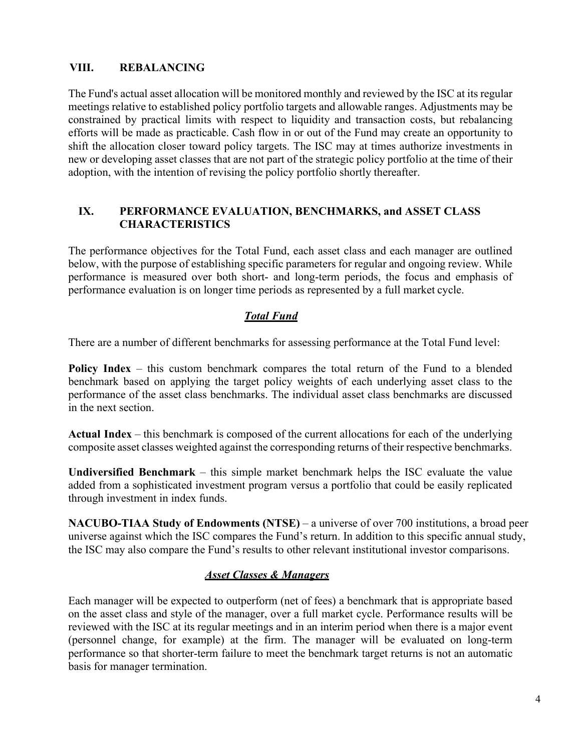## **VIII. REBALANCING**

The Fund's actual asset allocation will be monitored monthly and reviewed by the ISC at its regular meetings relative to established policy portfolio targets and allowable ranges. Adjustments may be constrained by practical limits with respect to liquidity and transaction costs, but rebalancing efforts will be made as practicable. Cash flow in or out of the Fund may create an opportunity to shift the allocation closer toward policy targets. The ISC may at times authorize investments in new or developing asset classes that are not part of the strategic policy portfolio at the time of their adoption, with the intention of revising the policy portfolio shortly thereafter.

#### **IX. PERFORMANCE EVALUATION, BENCHMARKS, and ASSET CLASS CHARACTERISTICS**

The performance objectives for the Total Fund, each asset class and each manager are outlined below, with the purpose of establishing specific parameters for regular and ongoing review. While performance is measured over both short- and long-term periods, the focus and emphasis of performance evaluation is on longer time periods as represented by a full market cycle.

## *Total Fund*

There are a number of different benchmarks for assessing performance at the Total Fund level:

**Policy Index** – this custom benchmark compares the total return of the Fund to a blended benchmark based on applying the target policy weights of each underlying asset class to the performance of the asset class benchmarks. The individual asset class benchmarks are discussed in the next section.

**Actual Index** – this benchmark is composed of the current allocations for each of the underlying composite asset classes weighted against the corresponding returns of their respective benchmarks.

**Undiversified Benchmark** – this simple market benchmark helps the ISC evaluate the value added from a sophisticated investment program versus a portfolio that could be easily replicated through investment in index funds.

**NACUBO-TIAA Study of Endowments (NTSE)** – a universe of over 700 institutions, a broad peer universe against which the ISC compares the Fund's return. In addition to this specific annual study, the ISC may also compare the Fund's results to other relevant institutional investor comparisons.

#### *Asset Classes & Managers*

Each manager will be expected to outperform (net of fees) a benchmark that is appropriate based on the asset class and style of the manager, over a full market cycle. Performance results will be reviewed with the ISC at its regular meetings and in an interim period when there is a major event (personnel change, for example) at the firm. The manager will be evaluated on long-term performance so that shorter-term failure to meet the benchmark target returns is not an automatic basis for manager termination.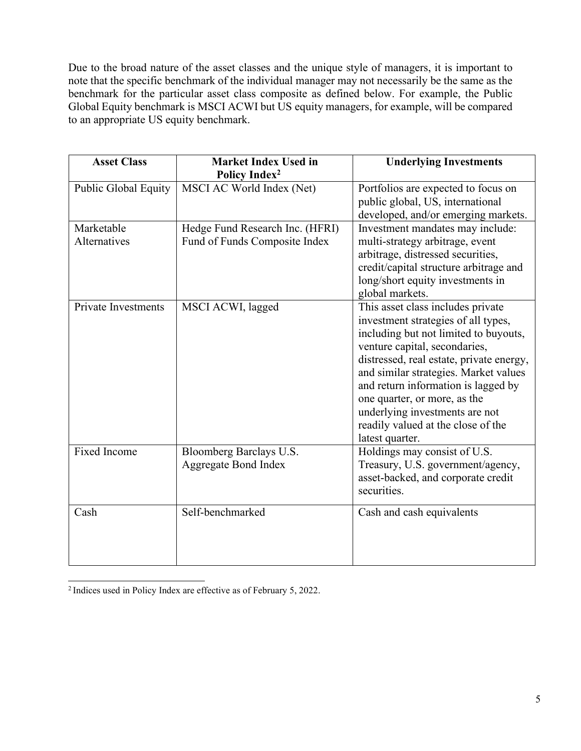Due to the broad nature of the asset classes and the unique style of managers, it is important to note that the specific benchmark of the individual manager may not necessarily be the same as the benchmark for the particular asset class composite as defined below. For example, the Public Global Equity benchmark is MSCI ACWI but US equity managers, for example, will be compared to an appropriate US equity benchmark.

| <b>Asset Class</b>          | <b>Market Index Used in</b><br>Policy Index <sup>2</sup>         | <b>Underlying Investments</b>                                                                                                                                                                                                                                                                                                                                                                             |  |
|-----------------------------|------------------------------------------------------------------|-----------------------------------------------------------------------------------------------------------------------------------------------------------------------------------------------------------------------------------------------------------------------------------------------------------------------------------------------------------------------------------------------------------|--|
| <b>Public Global Equity</b> | MSCI AC World Index (Net)                                        | Portfolios are expected to focus on<br>public global, US, international<br>developed, and/or emerging markets.                                                                                                                                                                                                                                                                                            |  |
| Marketable<br>Alternatives  | Hedge Fund Research Inc. (HFRI)<br>Fund of Funds Composite Index | Investment mandates may include:<br>multi-strategy arbitrage, event<br>arbitrage, distressed securities,<br>credit/capital structure arbitrage and<br>long/short equity investments in<br>global markets.                                                                                                                                                                                                 |  |
| <b>Private Investments</b>  | MSCI ACWI, lagged                                                | This asset class includes private<br>investment strategies of all types,<br>including but not limited to buyouts,<br>venture capital, secondaries,<br>distressed, real estate, private energy,<br>and similar strategies. Market values<br>and return information is lagged by<br>one quarter, or more, as the<br>underlying investments are not<br>readily valued at the close of the<br>latest quarter. |  |
| <b>Fixed Income</b>         | Bloomberg Barclays U.S.<br><b>Aggregate Bond Index</b>           | Holdings may consist of U.S.<br>Treasury, U.S. government/agency,<br>asset-backed, and corporate credit<br>securities.                                                                                                                                                                                                                                                                                    |  |
| Cash                        | Self-benchmarked                                                 | Cash and cash equivalents                                                                                                                                                                                                                                                                                                                                                                                 |  |

<span id="page-4-0"></span><sup>2</sup> Indices used in Policy Index are effective as of February 5, 2022.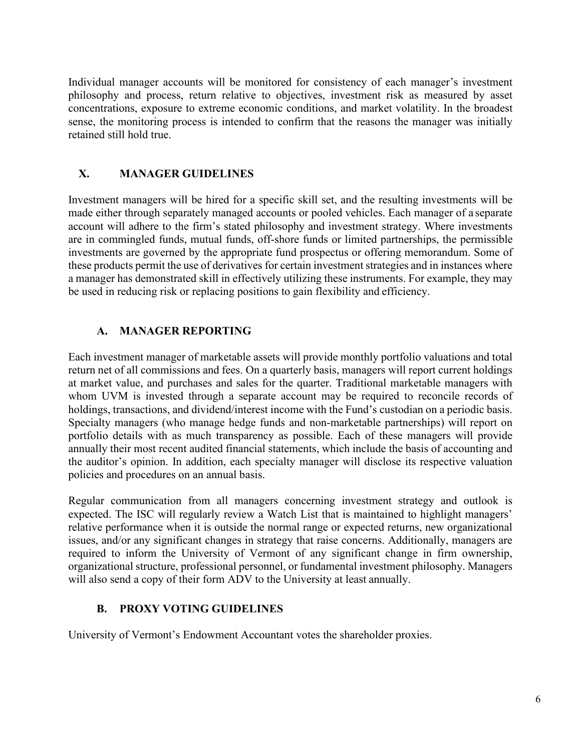Individual manager accounts will be monitored for consistency of each manager's investment philosophy and process, return relative to objectives, investment risk as measured by asset concentrations, exposure to extreme economic conditions, and market volatility. In the broadest sense, the monitoring process is intended to confirm that the reasons the manager was initially retained still hold true.

## **X. MANAGER GUIDELINES**

Investment managers will be hired for a specific skill set, and the resulting investments will be made either through separately managed accounts or pooled vehicles. Each manager of a separate account will adhere to the firm's stated philosophy and investment strategy. Where investments are in commingled funds, mutual funds, off-shore funds or limited partnerships, the permissible investments are governed by the appropriate fund prospectus or offering memorandum. Some of these products permit the use of derivatives for certain investment strategies and in instances where a manager has demonstrated skill in effectively utilizing these instruments. For example, they may be used in reducing risk or replacing positions to gain flexibility and efficiency.

## **A. MANAGER REPORTING**

Each investment manager of marketable assets will provide monthly portfolio valuations and total return net of all commissions and fees. On a quarterly basis, managers will report current holdings at market value, and purchases and sales for the quarter. Traditional marketable managers with whom UVM is invested through a separate account may be required to reconcile records of holdings, transactions, and dividend/interest income with the Fund's custodian on a periodic basis. Specialty managers (who manage hedge funds and non-marketable partnerships) will report on portfolio details with as much transparency as possible. Each of these managers will provide annually their most recent audited financial statements, which include the basis of accounting and the auditor's opinion. In addition, each specialty manager will disclose its respective valuation policies and procedures on an annual basis.

Regular communication from all managers concerning investment strategy and outlook is expected. The ISC will regularly review a Watch List that is maintained to highlight managers' relative performance when it is outside the normal range or expected returns, new organizational issues, and/or any significant changes in strategy that raise concerns. Additionally, managers are required to inform the University of Vermont of any significant change in firm ownership, organizational structure, professional personnel, or fundamental investment philosophy. Managers will also send a copy of their form ADV to the University at least annually.

#### **B. PROXY VOTING GUIDELINES**

University of Vermont's Endowment Accountant votes the shareholder proxies.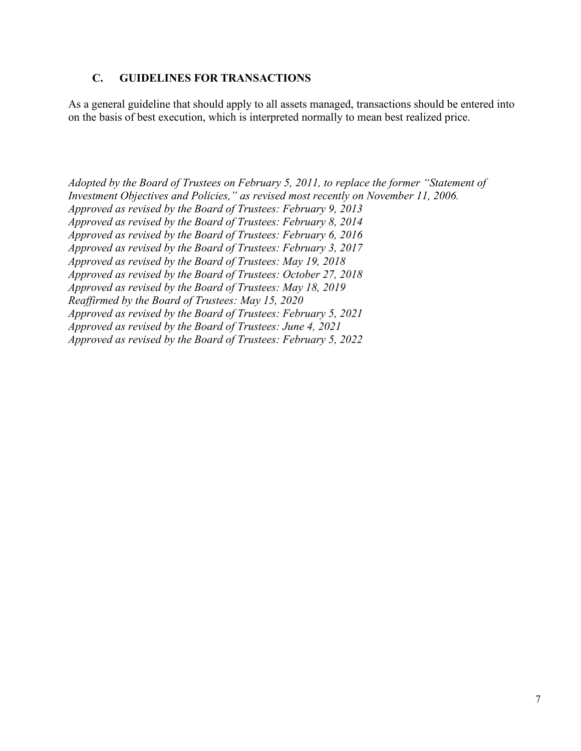#### **C. GUIDELINES FOR TRANSACTIONS**

As a general guideline that should apply to all assets managed, transactions should be entered into on the basis of best execution, which is interpreted normally to mean best realized price.

*Adopted by the Board of Trustees on February 5, 2011, to replace the former "Statement of Investment Objectives and Policies," as revised most recently on November 11, 2006. Approved as revised by the Board of Trustees: February 9, 2013 Approved as revised by the Board of Trustees: February 8, 2014 Approved as revised by the Board of Trustees: February 6, 2016 Approved as revised by the Board of Trustees: February 3, 2017 Approved as revised by the Board of Trustees: May 19, 2018 Approved as revised by the Board of Trustees: October 27, 2018 Approved as revised by the Board of Trustees: May 18, 2019 Reaffirmed by the Board of Trustees: May 15, 2020 Approved as revised by the Board of Trustees: February 5, 2021 Approved as revised by the Board of Trustees: June 4, 2021 Approved as revised by the Board of Trustees: February 5, 2022*